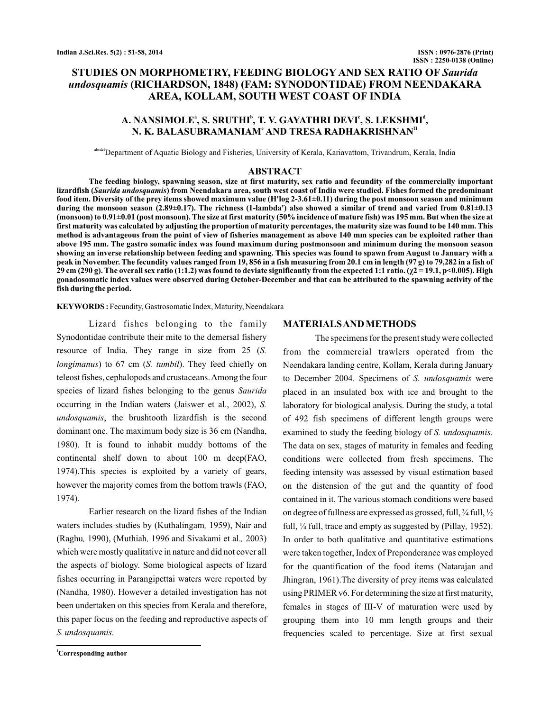# **STUDIES ON MORPHOMETRY, FEEDING BIOLOGY AND SEX RATIO OF** *Saurida* **(RICHARDSON, 1848) (FAM: SYNODONTIDAE) FROM NEENDAKARA** *undosquamis* **AREA, KOLLAM, SOUTH WEST COAST OF INDIA**

## A. NANSIMOLE\*, S. SRUTHI<sup>|</sup>', T. V. GAYATHRI DEVI<sup>¢</sup>, S. LEKSHMI<sup>d</sup>, **N. K. BALASUBRAMANIAM AND TRESA RADHAKRISHNAN e f1**

<sup>abcdef</sup>Department of Aquatic Biology and Fisheries, University of Kerala, Kariavattom, Trivandrum, Kerala, India

#### **ABSTRACT**

**The feeding biology, spawning season, size at first maturity, sex ratio and fecundity of the commercially important** lizardfish (*Saurida undosquamis*) from Neendakara area, south west coast of India were studied. Fishes formed the predominant **food item. Diversity of the prey items showed maximum value (H'log 2-3.61±0.11) during the post monsoon season and minimum during the monsoon season (2.89±0.17). The richness (1-lambda') also showed a similar of trend and varied from 0.81±0.13 (monsoon) to 0.91±0.01 (post monsoon). The size at first maturity (50% incidence of mature fish) was 195 mm. But when the size at first maturity was calculated by adjusting the proportion of maturity percentages, the maturity size was found to be 140 mm. This method is advantageous from the point of view of fisheries management as above 140 mm species can be exploited rather than above 195 mm. The gastro somatic index was found maximum during postmonsoon and minimum during the monsoon season showing an inverse relationship between feeding and spawning. This species was found to spawn from August to January with a peak in November. The fecundity values ranged from 19, 856 in a fish measuring from 20.1 cm in length (97 g) to 79,282 in a fish of** 29 cm (290 g). The overall sex ratio (1:1.2) was found to deviate significantly from the expected 1:1 ratio. (χ2 = 19.1, p<0.005). High **gonadosomatic index values were observed during October-December and that can be attributed to the spawning activity of the fish during the period.**

**KEYWORDS :** Fecundity, Gastrosomatic Index, Maturity, Neendakara

Lizard fishes belonging to the family Synodontidae contribute their mite to the demersal fishery resource of India. They range in size from 25 ( *S.* longimanus) to 67 cm (S. tumbil). They feed chiefly on teleost fishes, cephalopods and crustaceans.Among the four species of lizard fishes belonging to the genus *Saurida* occurring in the Indian waters (Jaiswer et al., 2002), *S.* undosquamis, the brushtooth lizardfish is the second dominant one. The maximum body size is 36 cm (Nandha, 1980). It is found to inhabit muddy bottoms of the continental shelf down to about 100 m deep(FAO, 1974).This species is exploited by a variety of gears, however the majority comes from the bottom trawls (FAO, 1974).

Earlier research on the lizard fishes of the Indian waters includes studies by (Kuthalingam, 1959), Nair and (Raghu, 1990), (Muthiah, 1996 and Sivakami et al., 2003) which were mostly qualitative in nature and did not cover all the aspects of biology. Some biological aspects of lizard fishes occurring in Parangipettai waters were reported by (Nandha, 1980). However a detailed investigation has not been undertaken on this species from Kerala and therefore, this paper focus on the feeding and reproductive aspects of *S. undosquamis.*

**<sup>1</sup>Corresponding author**

#### **MATERIALSANDMETHODS**

The specimens for the present study were collected from the commercial trawlers operated from the Neendakara landing centre, Kollam, Kerala during January to December 2004. Specimens of S. undosquamis were placed in an insulated box with ice and brought to the laboratory for biological analysis. During the study, a total of 492 fish specimens of different length groups were examined to study the feeding biology of *S. undosquamis.* The data on sex, stages of maturity in females and feeding conditions were collected from fresh specimens. The feeding intensity was assessed by visual estimation based on the distension of the gut and the quantity of food contained in it. The various stomach conditions were based on degree of fullness are expressed as grossed, full, ¾ full, ½ full, 1/<sub>4</sub> full, trace and empty as suggested by (Pillay, 1952). In order to both qualitative and quantitative estimations were taken together, Index of Preponderance was employed for the quantification of the food items (Natarajan and Jhingran, 1961).The diversity of prey items was calculated using PRIMER v6. For determining the size at first maturity, females in stages of III-V of maturation were used by grouping them into 10 mm length groups and their frequencies scaled to percentage. Size at first sexual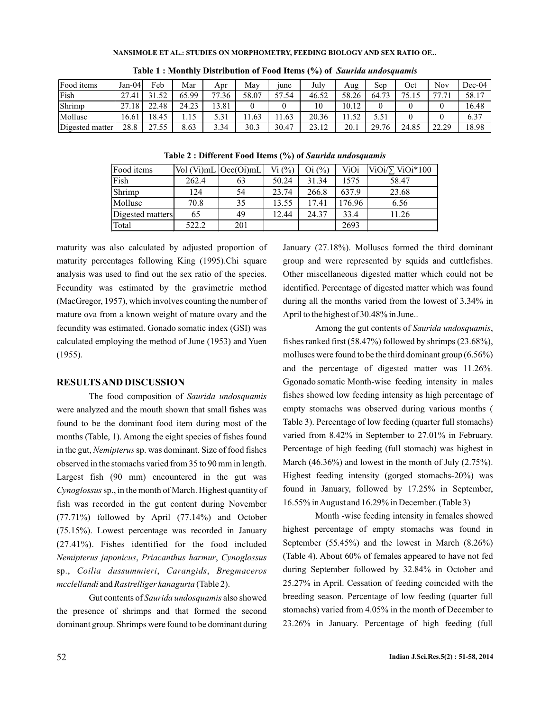#### **NANSIMOLE ET AL.: STUDIES ON MORPHOMETRY, FEEDING BIOLOGY AND SEX RATIO OF...**

| Food items      | Jan-04l     | Feb                 | Mar   | Apr   | May   | <sub>1une</sub> | July  | Aug                  | Sep        | Oct            | Nov     | $Dec-04$ |
|-----------------|-------------|---------------------|-------|-------|-------|-----------------|-------|----------------------|------------|----------------|---------|----------|
| Fish            | 27.<br>'.41 | 50                  | 65.99 | .36   | 58.07 | 57<br>,7.54     | 46.52 | 58.26                | 72<br>64.7 | 75.<br>ر 1 ، ب | 77<br>. | 58.17    |
| Shrimp          | .18<br>27   | 22.48               | 24.23 | 13.81 |       |                 | 10    | 10.12                |            |                |         | 16.48    |
| Mollusc         | 16.61       | 18.45               | .     | 5.31  | 1.63  | 11.63           | 20.36 | $5^{\circ}$<br>11.34 | 5.51       |                |         | 6.37     |
| Digested matter | 28.8        | 27<br>55<br>، ۔<br> | 8.63  | 3.34  | 30.3  | 30.47           | 2312  | 20.1                 | 29.76      | 24.85          | 22.20   | 18.98    |

**Table 1 : Monthly Distribution of Food Items (%) of** *Saurida undosquamis*

**Table 2 : Different Food Items (%) of** *Saurida undosquamis*

| Food items       |       | Vol (Vi)mL Occ(Oi)mL | $Vi($ % $)$ | $\mathrm{O}i$ (%) | ViOi   | $ViOi/\sum ViOi*100$ |
|------------------|-------|----------------------|-------------|-------------------|--------|----------------------|
| Fish             | 262.4 | 63                   | 50.24       | 31.34             | 1575   | 58.47                |
| Shrimp           | 124   | 54                   | 23.74       | 266.8             | 637.9  | 23.68                |
| Mollusc          | 70.8  | 35                   | 13.55       | 17.41             | 176.96 | 6.56                 |
| Digested matters | 65    | 49                   | 12.44       | 24.37             | 33.4   | 11.26                |
| Total            | 522.2 | 201                  |             |                   | 2693   |                      |

maturity was also calculated by adjusted proportion of maturity percentages following King (1995).Chi square analysis was used to find out the sex ratio of the species. Fecundity was estimated by the gravimetric method (MacGregor, 1957), which involves counting the number of mature ova from a known weight of mature ovary and the fecundity was estimated. Gonado somatic index (GSI) was calculated employing the method of June (1953) and Yuen (1955).

### **RESULTSAND DISCUSSION**

The food composition of *Saurida undosquamis* were analyzed and the mouth shown that small fishes was found to be the dominant food item during most of the months (Table, 1). Among the eight species of fishes found in the gut, *Nemipterus* sp. was dominant. Size of food fishes observed in the stomachs varied from 35 to 90 mm in length. Largest fish (90 mm) encountered in the gut was Cynoglossus sp., in the month of March. Highest quantity of fish was recorded in the gut content during November (77.71%) followed by April (77.14%) and October (75.15%). Lowest percentage was recorded in January (27.41%). Fishes identified for the food included , , *Nemipterus japonicus Priacanthus harmur Cynoglossus* sp., Coilia dussummieri, Carangids, Bregmaceros mcclellandi and Rastrelliger kanagurta (Table 2).

Gut contents of *Saurida undosquamis* also showed the presence of shrimps and that formed the second dominant group. Shrimps were found to be dominant during January (27.18%). Molluscs formed the third dominant group and were represented by squids and cuttlefishes. Other miscellaneous digested matter which could not be identified. Percentage of digested matter which was found during all the months varied from the lowest of 3.34% in April to the highest of 30.48% in June..

Among the gut contents of Saurida undosquamis, fishes ranked first (58.47%) followed by shrimps (23.68%), molluscs were found to be the third dominant group (6.56%) and the percentage of digested matter was 11.26%. Ggonado somatic Month-wise feeding intensity in males fishes showed low feeding intensity as high percentage of empty stomachs was observed during various months ( Table 3). Percentage of low feeding (quarter full stomachs) varied from 8.42% in September to 27.01% in February. Percentage of high feeding (full stomach) was highest in March (46.36%) and lowest in the month of July (2.75%). Highest feeding intensity (gorged stomachs-20%) was found in January, followed by 17.25% in September, 16.55% inAugust and 16.29% in December. (Table 3)

Month -wise feeding intensity in females showed highest percentage of empty stomachs was found in September (55.45%) and the lowest in March (8.26%) (Table 4). About 60% of females appeared to have not fed during September followed by 32.84% in October and 25.27% in April. Cessation of feeding coincided with the breeding season. Percentage of low feeding (quarter full stomachs) varied from 4.05% in the month of December to 23.26% in January. Percentage of high feeding (full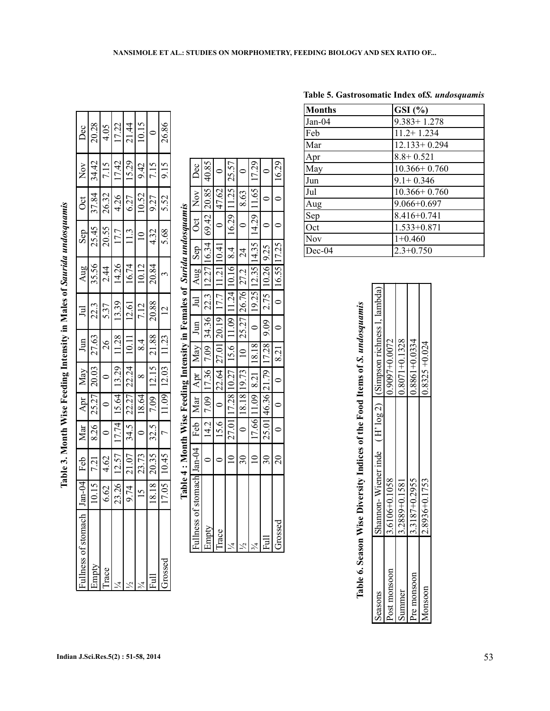| $\frac{1}{2}$<br>ı                   |
|--------------------------------------|
| Ì                                    |
| $\frac{1}{\zeta}$<br>$\frac{1}{1}$   |
|                                      |
|                                      |
| i<br>;<br>;<br>-<br>-<br>-<br>-<br>I |
| J<br> <br> <br> <br>i<br>I<br>l      |
| $\frac{1}{2}$                        |
|                                      |
| .<br>F<br>ׇׇ֠֕֡                      |

| $Jan-04$       | Feb   | Mar            | Apr     | May      | $\mathbb{H}$ | $\Xi$          | Aug                   | Sep            | $\cot$ | $\rm{Nov}$ | Dec   |
|----------------|-------|----------------|---------|----------|--------------|----------------|-----------------------|----------------|--------|------------|-------|
| 10.15          | 7.21  | 8.26           | 25.27   | 20.03    | 27.63        | 22.3           | 35.56                 | 25.45          | 37.84  | 34.42      | 20.28 |
| 6.62           | 4.62  | $\circ$        | $\circ$ |          | $\delta$     | 5.37           | 2.44                  | 20.55          | 26.32  | 7.15       | 4.05  |
| 23.26          | 12.57 | 17.74          | 15.64   | 13.29    | 11.28        | 13.39          | 14.26                 | 17.7           | 4.26   | 17.42      | 17.22 |
| 9.74           | 21.07 | 34.5           | 22.27   | 22.24    | $10.11$      | 12.61          | 16.74                 | 11.3           | 6.27   | 15.29      | 21.44 |
| $\frac{15}{2}$ | 23.73 | $\circ$        | 18.64   | $\infty$ | 8.4          | 7.12           | 10.12                 | $\overline{a}$ | 10.52  | 9.42       | 10.15 |
| 18.18          | 20.35 | 32.5           | 7.09    | 12.15    | 21.88        | 20.88          | 20.84                 | 4.32           | 9.27   | 7.15       |       |
| 17.05          | 10.45 | $\overline{a}$ | 11.09   | 12.03    | 11.23        | $\overline{c}$ | $\tilde{\phantom{0}}$ | 5.68           | 5.52   | 9.15       | 26.86 |
|                |       |                |         |          |              |                |                       |                |        |            |       |

|                                           | Table 4: Month Wise Feeding Intensity in Females of Surida undosquamis |                                                |                                                              |                                                                                                            |                                                   |                 |                                                                                  |      |       |
|-------------------------------------------|------------------------------------------------------------------------|------------------------------------------------|--------------------------------------------------------------|------------------------------------------------------------------------------------------------------------|---------------------------------------------------|-----------------|----------------------------------------------------------------------------------|------|-------|
| Fullness of stomach $\tan-04$ Feb Mar Apr |                                                                        |                                                |                                                              | $\text{May}$ Jun                                                                                           |                                                   |                 | $Jul$ $Aug$ $Sep$ $Oct$ $Nov$ $Dec$                                              |      |       |
| Empty                                     |                                                                        |                                                |                                                              |                                                                                                            |                                                   |                 | 14.2 7.09 17.36 7.09 34.36 22.3 12.27 16.34 69.42 20.85 40.85                    |      |       |
| Trace                                     |                                                                        |                                                |                                                              | $15.6$   0   22.64   27.01   20.19   17.7   11.21   10.41                                                  |                                                   |                 | 147.62                                                                           |      |       |
|                                           |                                                                        |                                                |                                                              |                                                                                                            |                                                   |                 | 27.01 17.28 10.27 15.6 11.09 11.24 10.16 8.4 16.29 11.25 25.57                   |      |       |
|                                           |                                                                        |                                                | $0$   18.18   19.73                                          | $10$   25.27   26.76   27.2                                                                                |                                                   | 1 <sup>24</sup> |                                                                                  | 8.63 |       |
|                                           |                                                                        |                                                |                                                              |                                                                                                            |                                                   |                 | 17.66   11.09   8.21   18.18   0   19.25   12.35   14.35   14.29   11.65   17.29 |      |       |
| 冒                                         | $30-1$                                                                 |                                                |                                                              | $\left  25.01 \right  46.36 \left  21.79 \right  17.28 \left  9.09 \right  2.75 \left  10.26 \right  9.25$ |                                                   |                 |                                                                                  |      |       |
| Grossed                                   | 20                                                                     | $\begin{bmatrix} 0 & 1 \\ 0 & 0 \end{bmatrix}$ | $\begin{array}{ c c } \hline 0 & 8.21 \\ \hline \end{array}$ | $\overline{a}$                                                                                             | $\begin{bmatrix} 0 & 16.55 & 17.25 \end{bmatrix}$ |                 |                                                                                  |      | 16.29 |
|                                           |                                                                        |                                                |                                                              |                                                                                                            |                                                   |                 |                                                                                  |      |       |

|               | Table 5. Gastrosomatic Index of S. undosquamis |
|---------------|------------------------------------------------|
| <b>Months</b> | $GSI$ $(\% )$                                  |
| Jan-04        | $9.383 + 1.278$                                |
| Feb           | $11.2 + 1.234$                                 |
| Mar           | $12.133 + 0.294$                               |
| Apr           | $8.8 + 0.521$                                  |
| May           | $10.366 + 0.760$                               |
| Jun           | $9.1 + 0.346$                                  |
| Jul           | $10.366 + 0.760$                               |
| Aug           | $9.066 + 0.697$                                |
| Sep           | 8.416+0.741                                    |
| Oct           | $1.533 + 0.871$                                |
| Nov           | $1+0.460$                                      |
| Dec-04        | $2.3 + 0.750$                                  |

|              |                   | Table 6. Season Wise Diversity Indices of the Food Items of S. <i>undosquamis</i> |
|--------------|-------------------|-----------------------------------------------------------------------------------|
| Seasons      |                   | Shannon-Wiener inde (H' log 2) (Simpson richness 1, lambda)                       |
| Post monsoon | 13.6106+0.1058    | $0.9097 + 0.0072$                                                                 |
| Summer       | 3.2889+0.1581     | $0.8071 + 0.1328$                                                                 |
| Pre monsoon  | 3.3187+0.2955     | $0.8861 + 0.0334$                                                                 |
| Monsoon      | $2.8936 + 0.1753$ | $0.8325 + 0.024$                                                                  |
|              |                   |                                                                                   |

| Indian J.Sci.Res.5(2): 51-58, 2014 | 53 |
|------------------------------------|----|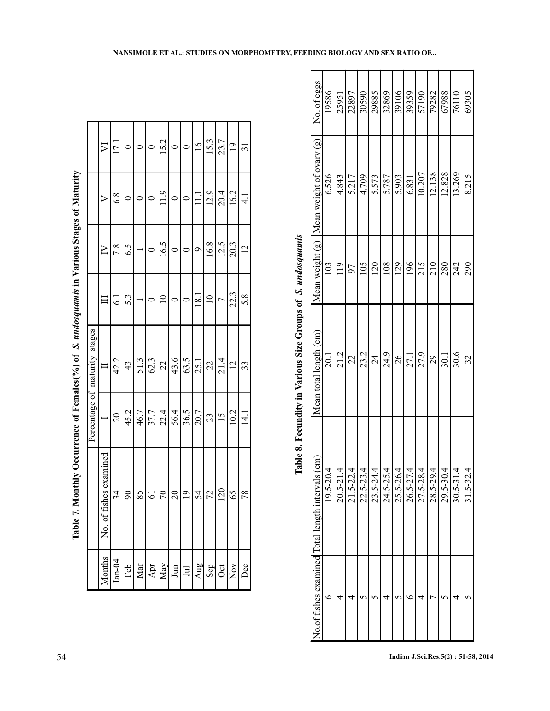|                                                                                                       |                               | $\nabla$                 | 17.1      |          |                         |                | 15.2             |                 |                 | $\frac{6}{1}$ | 15.3           | 23.7           | $\frac{1}{2}$  | $\overline{31}$ |
|-------------------------------------------------------------------------------------------------------|-------------------------------|--------------------------|-----------|----------|-------------------------|----------------|------------------|-----------------|-----------------|---------------|----------------|----------------|----------------|-----------------|
|                                                                                                       |                               |                          | 6.8       |          | $\circ$                 |                | 11.9             | $\circ$         |                 | $\Xi$         | 12.9           | 20.4           | 16.2           | $\frac{1}{4}$   |
|                                                                                                       |                               |                          | 7.8       | 6.5      |                         | $\circ$        | 16.5             | $\circ$         |                 | $\circ$       | 16.8           | 12.5           | 20.3           | $\overline{2}$  |
|                                                                                                       |                               |                          | $\vec{0}$ | 5.3      |                         |                | $\supseteq$      |                 |                 | 18.1          | $\supseteq$    |                | 22.3           | 5.8             |
|                                                                                                       | Percentage of maturity stages |                          | 42.2      | 43       | 51.3                    | 62.3           | 22               | 43.6            | 63.5            | 25.1          | $\overline{2}$ | 21.4           | $\overline{2}$ | 33              |
|                                                                                                       |                               |                          | $\approx$ | 45.2     | 46.7                    | 37.7           | 22.4             | 56.4            | 36.5            | 20.7          | 23             | $\frac{15}{1}$ | 10.2           | $\frac{1}{4}$   |
| e 7. Monthly Occurrence of Females(%) of S. undosquamis in Various Stages of Maturity<br>$\Gamma$ abl |                               | of fishes examined<br>Ż. | 34        | $\delta$ | 85                      | $\overline{6}$ | $\sqrt{2}$       | $\overline{c}$  | $\overline{0}$  | 54            | 72             | 120            | 65             | 78              |
|                                                                                                       |                               | <i><b>A</b></i> onths    | $Jan-04$  | Feb      | $\overline{\text{Mar}}$ | Apr            | $\overline{May}$ | $_{\text{Jun}}$ | J <sub>ul</sub> | Aug           | Sep            | Oct            | $_{\rm Nov}$   | Dec             |

| $\frac{1}{2}$                         |
|---------------------------------------|
|                                       |
|                                       |
| )                                     |
|                                       |
| j                                     |
| " omis in Variou                      |
|                                       |
| $\frac{1}{2}$                         |
|                                       |
|                                       |
|                                       |
|                                       |
| ť                                     |
|                                       |
|                                       |
|                                       |
| Ç                                     |
|                                       |
|                                       |
|                                       |
|                                       |
| $\ddot{\phantom{a}}$                  |
| $\sim$ ( $\sqrt{2}$ ) of $\Delta$ .   |
|                                       |
|                                       |
| ļ                                     |
|                                       |
|                                       |
| Let of Hem                            |
|                                       |
| <br> <br> <br> <br>                   |
| ¢                                     |
|                                       |
|                                       |
|                                       |
|                                       |
| i                                     |
| $\mathcal{L} = \mathcal{L}$<br>ble 7. |

| į                                        |
|------------------------------------------|
| i<br>$\zeta$                             |
|                                          |
| $100$ and $100$<br>d<br>5<br>5<br>5<br>l |
| 10.000mg<br>ļ                            |
| <b>CONTRACTOR</b><br>ĺ                   |
| ĺ                                        |
| Ĭ<br>.<br>.<br>.<br>.<br>l<br>C          |
|                                          |
| ייני שנים ב<br>.<br>F<br>$\mathbf{I}$    |

|                                                             | No. of eggs                                   | 19586         | 25951          | 22897          | 30590         | 29885           | 32869         | 39106          | 39359         | 57190         | 79282         | 67988         | 76110         | 69305         |
|-------------------------------------------------------------|-----------------------------------------------|---------------|----------------|----------------|---------------|-----------------|---------------|----------------|---------------|---------------|---------------|---------------|---------------|---------------|
|                                                             | Mean weight $(g)$  Mean weight of ovary $(g)$ | 6.526         | 4.843          | 5.217          | 4.709         | 5.573           | 5.787         | 5.903          | 6.831         | 10.207        | 12.138        | 12.828        | 13.269        | 8.215         |
|                                                             |                                               | 103           | $\frac{19}{2}$ | 97             | 105           | 120             | 108           | 129            | 196           | 215           | 210           | 280           | 242           | 290           |
| Table 8. Fecundity in Various Size Groups of S. undosquamis | Mean total length (cm)                        | 20.1          | 21.2           | $\mathfrak{Z}$ | 23.2          | $\overline{24}$ | 24.9          | $\frac{26}{5}$ | 27.1          | 27.9          | 29            | 30.1          | 30.6          | 32            |
|                                                             | $\widehat{\text{cm}}$                         | $19.5 - 20.4$ | $20.5 - 21.4$  | $21.5 - 22.4$  | $22.5 - 23.4$ | $23.5 - 24.4$   | $24.5 - 25.4$ | $25.5 - 26.4$  | $26.5 - 27.4$ | $27.5 - 28.4$ | $28.5 - 29.4$ | $29.5 - 30.4$ | $30.5 - 31.4$ | $31.5 - 32.4$ |
|                                                             | No.of fishes examined Total length intervals  | c             |                |                |               |                 |               |                |               |               |               |               |               |               |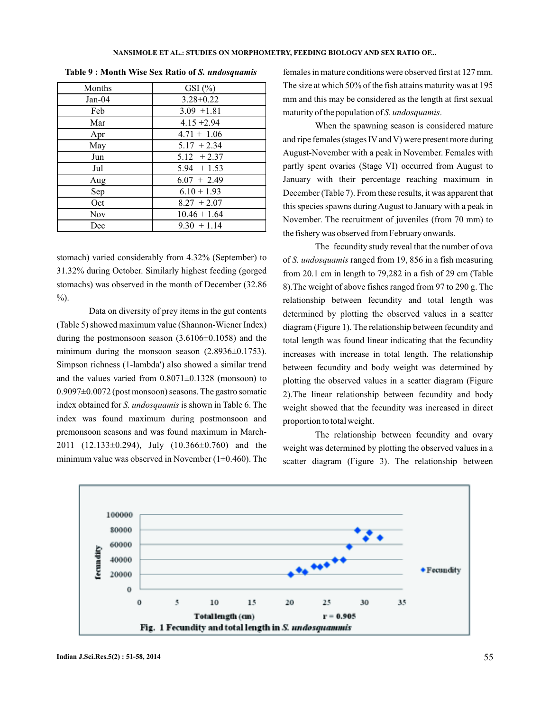| Months     | $GSI$ $(\%)$   |
|------------|----------------|
| $Jan-04$   | $3.28 + 0.22$  |
| Feb        | $3.09 + 1.81$  |
| Mar        | $4.15 + 2.94$  |
| Apr        | $4.71 + 1.06$  |
| May        | $5.17 + 2.34$  |
| Jun        | $5.12 + 2.37$  |
| Jul        | $5.94 + 1.53$  |
| Aug        | $6.07 + 2.49$  |
| Sep        | $6.10 + 1.93$  |
| Oct        | $8.27 + 2.07$  |
| <b>Nov</b> | $10.46 + 1.64$ |
| Dec        | $9.30 + 1.14$  |

**Table 9 : Month Wise Sex Ratio of** *S. undosquamis*

stomach) varied considerably from 4.32% (September) to 31.32% during October. Similarly highest feeding (gorged stomachs) was observed in the month of December (32.86  $\%$ ).

Data on diversity of prey items in the gut contents (Table 5) showed maximum value (Shannon-Wiener Index) during the postmonsoon season  $(3.6106\pm0.1058)$  and the minimum during the monsoon season  $(2.8936\pm0.1753)$ . Simpson richness (1-lambda′) also showed a similar trend and the values varied from  $0.8071 \pm 0.1328$  (monsoon) to 0.9097±0.0072 (post monsoon) seasons. The gastro somatic index obtained for S. *undosquamis* is shown in Table 6. The index was found maximum during postmonsoon and premonsoon seasons and was found maximum in March-2011 (12.133 $\pm$ 0.294), July (10.366 $\pm$ 0.760) and the minimum value was observed in November  $(1\pm 0.460)$ . The females in mature conditions were observed first at 127 mm. The size at which 50% of the fish attains maturity was at 195 mm and this may be considered as the length at first sexual maturity of the population of S. undosquamis.

When the spawning season is considered mature and ripe females (stages IV and V) were present more during August-November with a peak in November. Females with partly spent ovaries (Stage VI) occurred from August to January with their percentage reaching maximum in December (Table 7). From these results, it was apparent that this species spawns during August to January with a peak in November. The recruitment of juveniles (from 70 mm) to the fishery was observed from February onwards.

The fecundity study reveal that the number of ova of *S. undosquamis* ranged from 19, 856 in a fish measuring from 20.1 cm in length to 79,282 in a fish of 29 cm (Table 8).The weight of above fishes ranged from 97 to 290 g. The relationship between fecundity and total length was determined by plotting the observed values in a scatter diagram (Figure 1). The relationship between fecundity and total length was found linear indicating that the fecundity increases with increase in total length. The relationship between fecundity and body weight was determined by plotting the observed values in a scatter diagram (Figure 2).The linear relationship between fecundity and body weight showed that the fecundity was increased in direct proportion to total weight.

The relationship between fecundity and ovary weight was determined by plotting the observed values in a scatter diagram (Figure 3). The relationship between

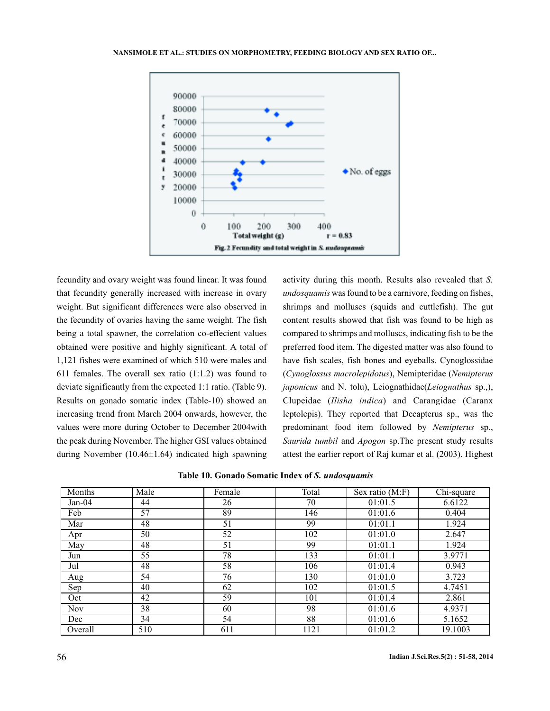

fecundity and ovary weight was found linear. It was found that fecundity generally increased with increase in ovary weight. But significant differences were also observed in the fecundity of ovaries having the same weight. The fish being a total spawner, the correlation co-effecient values obtained were positive and highly significant. A total of 1,121 fishes were examined of which 510 were males and 611 females. The overall sex ratio (1:1.2) was found to deviate significantly from the expected 1:1 ratio. (Table 9). Results on gonado somatic index (Table-10) showed an increasing trend from March 2004 onwards, however, the values were more during October to December 2004with the peak during November. The higher GSI values obtained during November (10.46±1.64) indicated high spawning

activity during this month. Results also revealed that *S.* undosquamis was found to be a carnivore, feeding on fishes, shrimps and molluscs (squids and cuttlefish). The gut content results showed that fish was found to be high as compared to shrimps and molluscs, indicating fish to be the preferred food item. The digested matter was also found to have fish scales, fish bones and eyeballs. Cynoglossidae ( ), Nemipteridae ( *Cynoglossus macrolepidotus Nemipterus* japonicus and N. tolu), Leiognathidae(Leiognathus sp.,), Clupeidae (Ilisha indica) and Carangidae (Caranx leptolepis). They reported that Decapterus sp., was the predominant food item followed by Nemipterus sp., Saurida tumbil and Apogon sp.The present study results attest the earlier report of Raj kumar et al. (2003). Highest

| Table 10. Gonado Somatic Index of S. undosquamis |  |  |  |  |  |  |
|--------------------------------------------------|--|--|--|--|--|--|
|--------------------------------------------------|--|--|--|--|--|--|

| Months     | Male | Female | Total | Sex ratio (M:F) | Chi-square |
|------------|------|--------|-------|-----------------|------------|
| $Jan-04$   | 44   | 26     | 70    | 01:01.5         | 6.6122     |
| Feb        | 57   | 89     | 146   | 01:01.6         | 0.404      |
| Mar        | 48   | 51     | 99    | 01:01.1         | 1.924      |
| Apr        | 50   | 52     | 102   | 01:01.0         | 2.647      |
| May        | 48   | 51     | 99    | 01:01.1         | 1.924      |
| Jun        | 55   | 78     | 133   | 01:01.1         | 3.9771     |
| Jul        | 48   | 58     | 106   | 01:01.4         | 0.943      |
| Aug        | 54   | 76     | 130   | 01:01.0         | 3.723      |
| Sep        | 40   | 62     | 102   | 01:01.5         | 4.7451     |
| Oct        | 42   | 59     | 101   | 01:01.4         | 2.861      |
| <b>Nov</b> | 38   | 60     | 98    | 01:01.6         | 4.9371     |
| Dec        | 34   | 54     | 88    | 01:01.6         | 5.1652     |
| Overall    | 510  | 611    | 1121  | 01:01.2         | 19.1003    |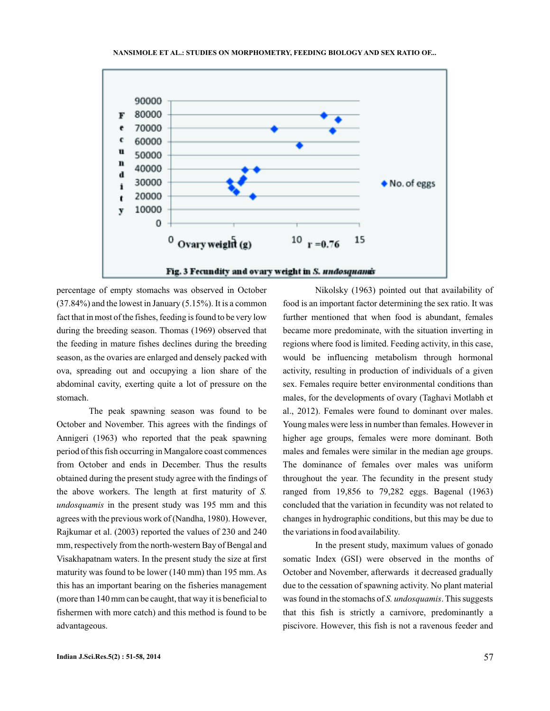



percentage of empty stomachs was observed in October (37.84%) and the lowest in January (5.15%). It is a common fact that in most of the fishes, feeding is found to be very low during the breeding season. Thomas (1969) observed that the feeding in mature fishes declines during the breeding season, as the ovaries are enlarged and densely packed with ova, spreading out and occupying a lion share of the abdominal cavity, exerting quite a lot of pressure on the stomach.

The peak spawning season was found to be October and November. This agrees with the findings of Annigeri (1963) who reported that the peak spawning period of this fish occurring in Mangalore coast commences from October and ends in December. Thus the results obtained during the present study agree with the findings of the above workers. The length at first maturity of *S.* undosquamis in the present study was 195 mm and this agrees with the previous work of (Nandha, 1980). However, Rajkumar et al. (2003) reported the values of 230 and 240 mm, respectively from the north-western Bay of Bengal and Visakhapatnam waters. In the present study the size at first maturity was found to be lower (140 mm) than 195 mm. As this has an important bearing on the fisheries management (more than 140 mm can be caught, that way it is beneficial to fishermen with more catch) and this method is found to be advantageous.

Nikolsky (1963) pointed out that availability of food is an important factor determining the sex ratio. It was further mentioned that when food is abundant, females became more predominate, with the situation inverting in regions where food is limited. Feeding activity, in this case, would be influencing metabolism through hormonal activity, resulting in production of individuals of a given sex. Females require better environmental conditions than males, for the developments of ovary (Taghavi Motlabh et al., 2012). Females were found to dominant over males. Young males were less in number than females. However in higher age groups, females were more dominant. Both males and females were similar in the median age groups. The dominance of females over males was uniform throughout the year. The fecundity in the present study ranged from 19,856 to 79,282 eggs. Bagenal (1963) concluded that the variation in fecundity was not related to changes in hydrographic conditions, but this may be due to the variations in food availability.

In the present study, maximum values of gonado somatic Index (GSI) were observed in the months of October and November, afterwards it decreased gradually due to the cessation of spawning activity. No plant material was found in the stomachs of S. undosquamis. This suggests that this fish is strictly a carnivore, predominantly a piscivore. However, this fish is not a ravenous feeder and